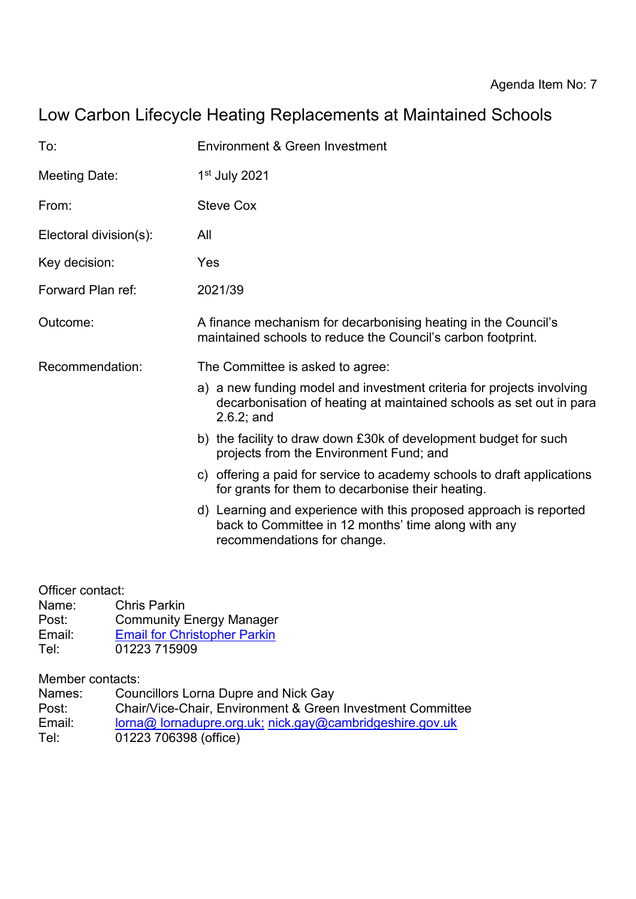# Low Carbon Lifecycle Heating Replacements at Maintained Schools

| To:                    | Environment & Green Investment                                                                                                                               |  |  |
|------------------------|--------------------------------------------------------------------------------------------------------------------------------------------------------------|--|--|
| <b>Meeting Date:</b>   | $1st$ July 2021                                                                                                                                              |  |  |
| From:                  | <b>Steve Cox</b>                                                                                                                                             |  |  |
| Electoral division(s): | All                                                                                                                                                          |  |  |
| Key decision:          | Yes                                                                                                                                                          |  |  |
| Forward Plan ref:      | 2021/39                                                                                                                                                      |  |  |
| Outcome:               | A finance mechanism for decarbonising heating in the Council's<br>maintained schools to reduce the Council's carbon footprint.                               |  |  |
| Recommendation:        | The Committee is asked to agree:                                                                                                                             |  |  |
|                        | a) a new funding model and investment criteria for projects involving<br>decarbonisation of heating at maintained schools as set out in para<br>$2.6.2;$ and |  |  |
|                        | b) the facility to draw down £30k of development budget for such<br>projects from the Environment Fund; and                                                  |  |  |
|                        | c) offering a paid for service to academy schools to draft applications<br>for grants for them to decarbonise their heating.                                 |  |  |
|                        | d) Learning and experience with this proposed approach is reported<br>back to Committee in 12 months' time along with any<br>recommendations for change.     |  |  |

Officer contact:

- Name: Chris Parkin
- Post: Community Energy Manager<br>Email: Email for Christopher Parkin
- Email: [Email for Christopher Parkin](mailto:Christopher.parkin@cambridgeshire.gov.uk)<br>Tel: 01223 715909
- 01223 715909

Member contacts:

| Names: | <b>Councillors Lorna Dupre and Nick Gay</b>                |
|--------|------------------------------------------------------------|
| Post:  | Chair/Vice-Chair, Environment & Green Investment Committee |
| Email: | lorna@ lornadupre.org.uk; nick.gay@cambridgeshire.gov.uk   |
| Tel:   | 01223 706398 (office)                                      |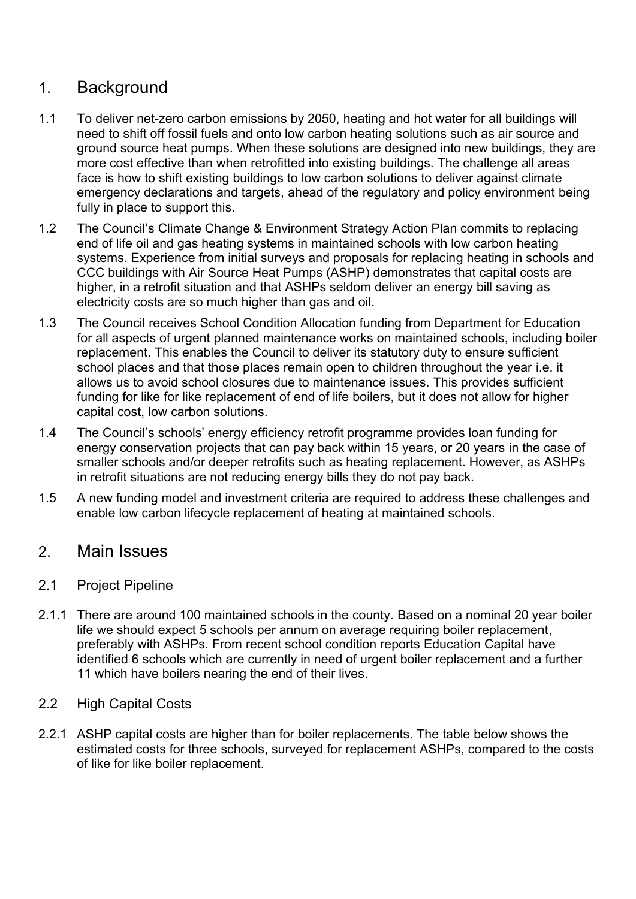## 1. Background

- 1.1 To deliver net-zero carbon emissions by 2050, heating and hot water for all buildings will need to shift off fossil fuels and onto low carbon heating solutions such as air source and ground source heat pumps. When these solutions are designed into new buildings, they are more cost effective than when retrofitted into existing buildings. The challenge all areas face is how to shift existing buildings to low carbon solutions to deliver against climate emergency declarations and targets, ahead of the regulatory and policy environment being fully in place to support this.
- 1.2 The Council's Climate Change & Environment Strategy Action Plan commits to replacing end of life oil and gas heating systems in maintained schools with low carbon heating systems. Experience from initial surveys and proposals for replacing heating in schools and CCC buildings with Air Source Heat Pumps (ASHP) demonstrates that capital costs are higher, in a retrofit situation and that ASHPs seldom deliver an energy bill saving as electricity costs are so much higher than gas and oil.
- 1.3 The Council receives School Condition Allocation funding from Department for Education for all aspects of urgent planned maintenance works on maintained schools, including boiler replacement. This enables the Council to deliver its statutory duty to ensure sufficient school places and that those places remain open to children throughout the year i.e. it allows us to avoid school closures due to maintenance issues. This provides sufficient funding for like for like replacement of end of life boilers, but it does not allow for higher capital cost, low carbon solutions.
- 1.4 The Council's schools' energy efficiency retrofit programme provides loan funding for energy conservation projects that can pay back within 15 years, or 20 years in the case of smaller schools and/or deeper retrofits such as heating replacement. However, as ASHPs in retrofit situations are not reducing energy bills they do not pay back.
- 1.5 A new funding model and investment criteria are required to address these challenges and enable low carbon lifecycle replacement of heating at maintained schools.

## 2. Main Issues

### 2.1 Project Pipeline

2.1.1 There are around 100 maintained schools in the county. Based on a nominal 20 year boiler life we should expect 5 schools per annum on average requiring boiler replacement, preferably with ASHPs. From recent school condition reports Education Capital have identified 6 schools which are currently in need of urgent boiler replacement and a further 11 which have boilers nearing the end of their lives.

#### 2.2 High Capital Costs

2.2.1 ASHP capital costs are higher than for boiler replacements. The table below shows the estimated costs for three schools, surveyed for replacement ASHPs, compared to the costs of like for like boiler replacement.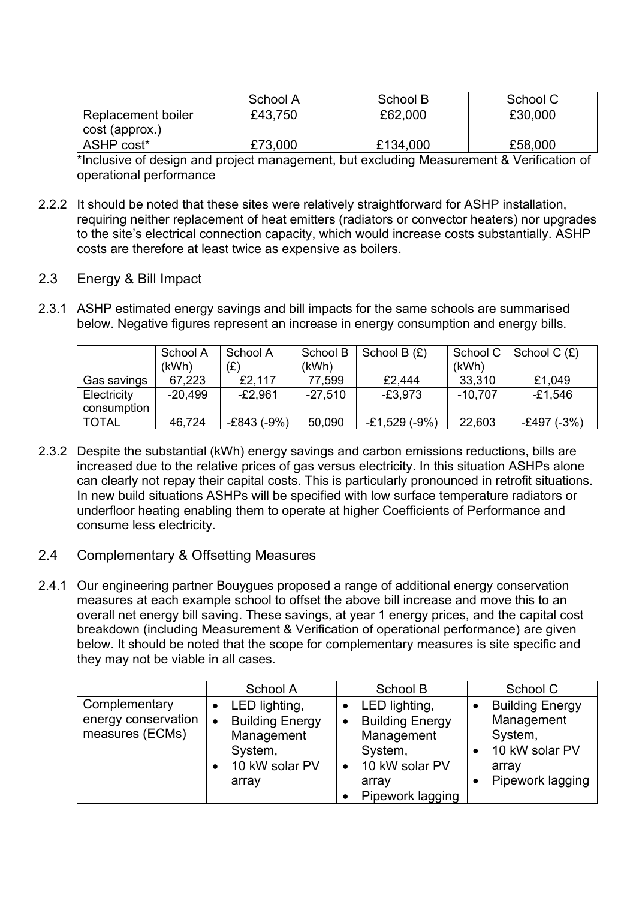|                                      | School A | School B | School C |
|--------------------------------------|----------|----------|----------|
| Replacement boiler<br>cost (approx.) | £43,750  | £62,000  | £30,000  |
| ASHP cost*                           | £73,000  | £134,000 | £58,000  |

\*Inclusive of design and project management, but excluding Measurement & Verification of operational performance

- 2.2.2 It should be noted that these sites were relatively straightforward for ASHP installation, requiring neither replacement of heat emitters (radiators or convector heaters) nor upgrades to the site's electrical connection capacity, which would increase costs substantially. ASHP costs are therefore at least twice as expensive as boilers.
- 2.3 Energy & Bill Impact
- 2.3.1 ASHP estimated energy savings and bill impacts for the same schools are summarised below. Negative figures represent an increase in energy consumption and energy bills.

|              | School A  | School A    | School B  | School B $(E)$ | School C  | School $C(f)$ |
|--------------|-----------|-------------|-----------|----------------|-----------|---------------|
|              | (kWh)     | (£)         | (kWh)     |                | (kWh)     |               |
| Gas savings  | 67,223    | £2.117      | 77,599    | £2.444         | 33,310    | £1,049        |
| Electricity  | $-20,499$ | $-E2,961$   | $-27,510$ | -£3.973        | $-10.707$ | -£1,546       |
| consumption  |           |             |           |                |           |               |
| <b>TOTAL</b> | 46,724    | -£843 (-9%) | 50,090    | $-E1,529(-9%)$ | 22,603    | -£497 (-3%)   |

- 2.3.2 Despite the substantial (kWh) energy savings and carbon emissions reductions, bills are increased due to the relative prices of gas versus electricity. In this situation ASHPs alone can clearly not repay their capital costs. This is particularly pronounced in retrofit situations. In new build situations ASHPs will be specified with low surface temperature radiators or underfloor heating enabling them to operate at higher Coefficients of Performance and consume less electricity.
- 2.4 Complementary & Offsetting Measures
- 2.4.1 Our engineering partner Bouygues proposed a range of additional energy conservation measures at each example school to offset the above bill increase and move this to an overall net energy bill saving. These savings, at year 1 energy prices, and the capital cost breakdown (including Measurement & Verification of operational performance) are given below. It should be noted that the scope for complementary measures is site specific and they may not be viable in all cases.

|                                                         | School A                                                                                                 | School B                                                                                                                     | School C                                                                                       |
|---------------------------------------------------------|----------------------------------------------------------------------------------------------------------|------------------------------------------------------------------------------------------------------------------------------|------------------------------------------------------------------------------------------------|
| Complementary<br>energy conservation<br>measures (ECMs) | LED lighting,<br><b>Building Energy</b><br>$\bullet$<br>Management<br>System,<br>10 kW solar PV<br>array | LED lighting,<br><b>Building Energy</b><br>$\bullet$<br>Management<br>System,<br>10 kW solar PV<br>array<br>Pipework lagging | <b>Building Energy</b><br>Management<br>System,<br>10 kW solar PV<br>array<br>Pipework lagging |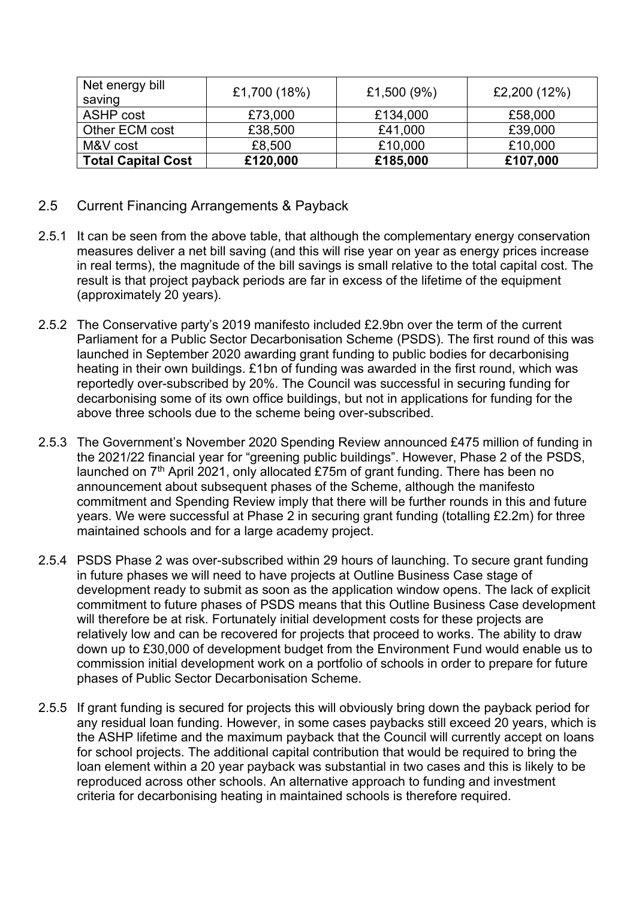| Net energy bill<br>saving | £1,700 (18%) | £1,500 (9%) | £2,200 (12%) |
|---------------------------|--------------|-------------|--------------|
| <b>ASHP</b> cost          | £73,000      | £134,000    | £58,000      |
| Other ECM cost            | £38,500      | £41,000     | £39,000      |
| M&V cost                  | £8,500       | £10,000     | £10,000      |
| <b>Total Capital Cost</b> | £120,000     | £185,000    | £107,000     |

- 2.5 Current Financing Arrangements & Payback
- 2.5.1 It can be seen from the above table, that although the complementary energy conservation measures deliver a net bill saving (and this will rise year on year as energy prices increase in real terms), the magnitude of the bill savings is small relative to the total capital cost. The result is that project payback periods are far in excess of the lifetime of the equipment (approximately 20 years).
- 2.5.2 The Conservative party's 2019 manifesto included £2.9bn over the term of the current Parliament for a Public Sector Decarbonisation Scheme (PSDS). The first round of this was launched in September 2020 awarding grant funding to public bodies for decarbonising heating in their own buildings. £1bn of funding was awarded in the first round, which was reportedly over-subscribed by 20%. The Council was successful in securing funding for decarbonising some of its own office buildings, but not in applications for funding for the above three schools due to the scheme being over-subscribed.
- 2.5.3 The Government's November 2020 Spending Review announced £475 million of funding in the 2021/22 financial year for "greening public buildings". However, Phase 2 of the PSDS, launched on  $7<sup>th</sup>$  April 2021, only allocated £75m of grant funding. There has been no announcement about subsequent phases of the Scheme, although the manifesto commitment and Spending Review imply that there will be further rounds in this and future years. We were successful at Phase 2 in securing grant funding (totalling £2.2m) for three maintained schools and for a large academy project.
- 2.5.4 PSDS Phase 2 was over-subscribed within 29 hours of launching. To secure grant funding in future phases we will need to have projects at Outline Business Case stage of development ready to submit as soon as the application window opens. The lack of explicit commitment to future phases of PSDS means that this Outline Business Case development will therefore be at risk. Fortunately initial development costs for these projects are relatively low and can be recovered for projects that proceed to works. The ability to draw down up to £30,000 of development budget from the Environment Fund would enable us to commission initial development work on a portfolio of schools in order to prepare for future phases of Public Sector Decarbonisation Scheme.
- 2.5.5 If grant funding is secured for projects this will obviously bring down the payback period for any residual loan funding. However, in some cases paybacks still exceed 20 years, which is the ASHP lifetime and the maximum payback that the Council will currently accept on loans for school projects. The additional capital contribution that would be required to bring the loan element within a 20 year payback was substantial in two cases and this is likely to be reproduced across other schools. An alternative approach to funding and investment criteria for decarbonising heating in maintained schools is therefore required.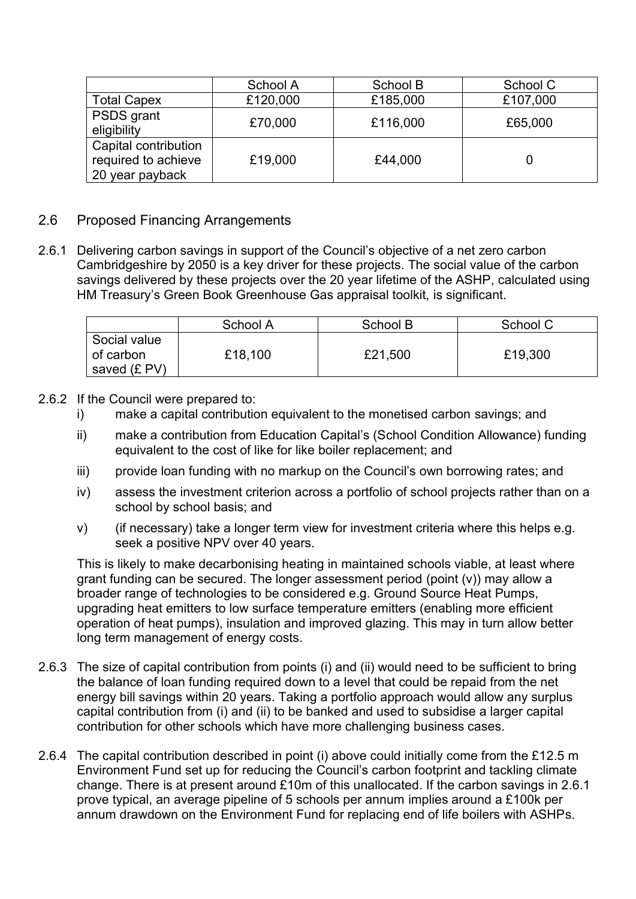|                                                                | School A | School B | School C |
|----------------------------------------------------------------|----------|----------|----------|
| <b>Total Capex</b>                                             | £120,000 | £185,000 | £107,000 |
| <b>PSDS</b> grant<br>eligibility                               | £70,000  | £116,000 | £65,000  |
| Capital contribution<br>required to achieve<br>20 year payback | £19,000  | £44,000  |          |

#### 2.6 Proposed Financing Arrangements

2.6.1 Delivering carbon savings in support of the Council's objective of a net zero carbon Cambridgeshire by 2050 is a key driver for these projects. The social value of the carbon savings delivered by these projects over the 20 year lifetime of the ASHP, calculated using HM Treasury's Green Book Greenhouse Gas appraisal toolkit, is significant.

|                                           | School A | School B | School C |
|-------------------------------------------|----------|----------|----------|
| Social value<br>of carbon<br>saved (£ PV) | £18,100  | £21,500  | £19,300  |

#### 2.6.2 If the Council were prepared to:

- i) make a capital contribution equivalent to the monetised carbon savings; and
- ii) make a contribution from Education Capital's (School Condition Allowance) funding equivalent to the cost of like for like boiler replacement; and
- iii) provide loan funding with no markup on the Council's own borrowing rates; and
- iv) assess the investment criterion across a portfolio of school projects rather than on a school by school basis; and
- v) (if necessary) take a longer term view for investment criteria where this helps e.g. seek a positive NPV over 40 years.

This is likely to make decarbonising heating in maintained schools viable, at least where grant funding can be secured. The longer assessment period (point (v)) may allow a broader range of technologies to be considered e.g. Ground Source Heat Pumps, upgrading heat emitters to low surface temperature emitters (enabling more efficient operation of heat pumps), insulation and improved glazing. This may in turn allow better long term management of energy costs.

- 2.6.3 The size of capital contribution from points (i) and (ii) would need to be sufficient to bring the balance of loan funding required down to a level that could be repaid from the net energy bill savings within 20 years. Taking a portfolio approach would allow any surplus capital contribution from (i) and (ii) to be banked and used to subsidise a larger capital contribution for other schools which have more challenging business cases.
- 2.6.4 The capital contribution described in point (i) above could initially come from the £12.5 m Environment Fund set up for reducing the Council's carbon footprint and tackling climate change. There is at present around £10m of this unallocated. If the carbon savings in 2.6.1 prove typical, an average pipeline of 5 schools per annum implies around a £100k per annum drawdown on the Environment Fund for replacing end of life boilers with ASHPs.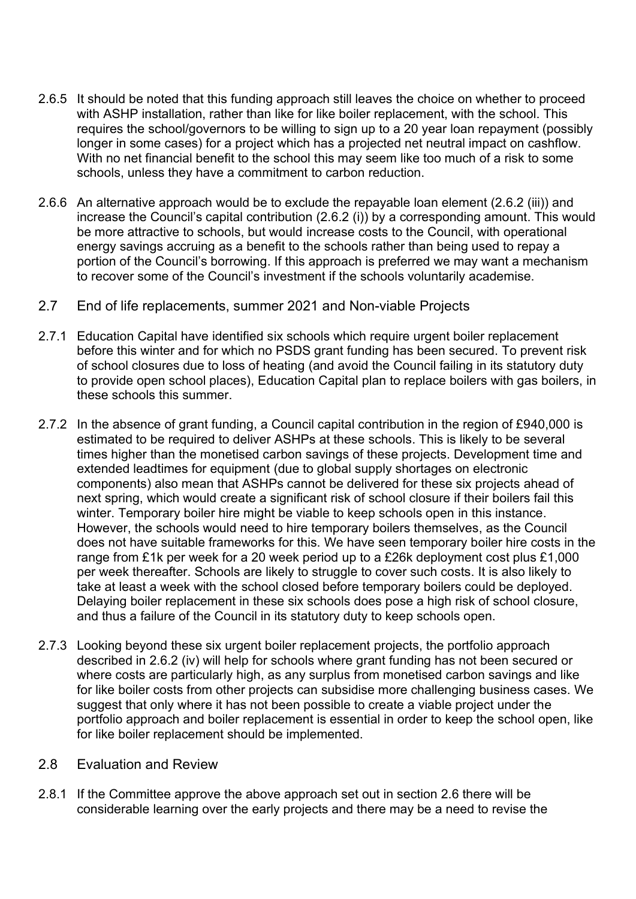- 2.6.5 It should be noted that this funding approach still leaves the choice on whether to proceed with ASHP installation, rather than like for like boiler replacement, with the school. This requires the school/governors to be willing to sign up to a 20 year loan repayment (possibly longer in some cases) for a project which has a projected net neutral impact on cashflow. With no net financial benefit to the school this may seem like too much of a risk to some schools, unless they have a commitment to carbon reduction.
- 2.6.6 An alternative approach would be to exclude the repayable loan element (2.6.2 (iii)) and increase the Council's capital contribution (2.6.2 (i)) by a corresponding amount. This would be more attractive to schools, but would increase costs to the Council, with operational energy savings accruing as a benefit to the schools rather than being used to repay a portion of the Council's borrowing. If this approach is preferred we may want a mechanism to recover some of the Council's investment if the schools voluntarily academise.
- 2.7 End of life replacements, summer 2021 and Non-viable Projects
- 2.7.1 Education Capital have identified six schools which require urgent boiler replacement before this winter and for which no PSDS grant funding has been secured. To prevent risk of school closures due to loss of heating (and avoid the Council failing in its statutory duty to provide open school places), Education Capital plan to replace boilers with gas boilers, in these schools this summer.
- 2.7.2 In the absence of grant funding, a Council capital contribution in the region of £940,000 is estimated to be required to deliver ASHPs at these schools. This is likely to be several times higher than the monetised carbon savings of these projects. Development time and extended leadtimes for equipment (due to global supply shortages on electronic components) also mean that ASHPs cannot be delivered for these six projects ahead of next spring, which would create a significant risk of school closure if their boilers fail this winter. Temporary boiler hire might be viable to keep schools open in this instance. However, the schools would need to hire temporary boilers themselves, as the Council does not have suitable frameworks for this. We have seen temporary boiler hire costs in the range from £1k per week for a 20 week period up to a £26k deployment cost plus £1,000 per week thereafter. Schools are likely to struggle to cover such costs. It is also likely to take at least a week with the school closed before temporary boilers could be deployed. Delaying boiler replacement in these six schools does pose a high risk of school closure, and thus a failure of the Council in its statutory duty to keep schools open.
- 2.7.3 Looking beyond these six urgent boiler replacement projects, the portfolio approach described in 2.6.2 (iv) will help for schools where grant funding has not been secured or where costs are particularly high, as any surplus from monetised carbon savings and like for like boiler costs from other projects can subsidise more challenging business cases. We suggest that only where it has not been possible to create a viable project under the portfolio approach and boiler replacement is essential in order to keep the school open, like for like boiler replacement should be implemented.
- 2.8 Evaluation and Review
- 2.8.1 If the Committee approve the above approach set out in section 2.6 there will be considerable learning over the early projects and there may be a need to revise the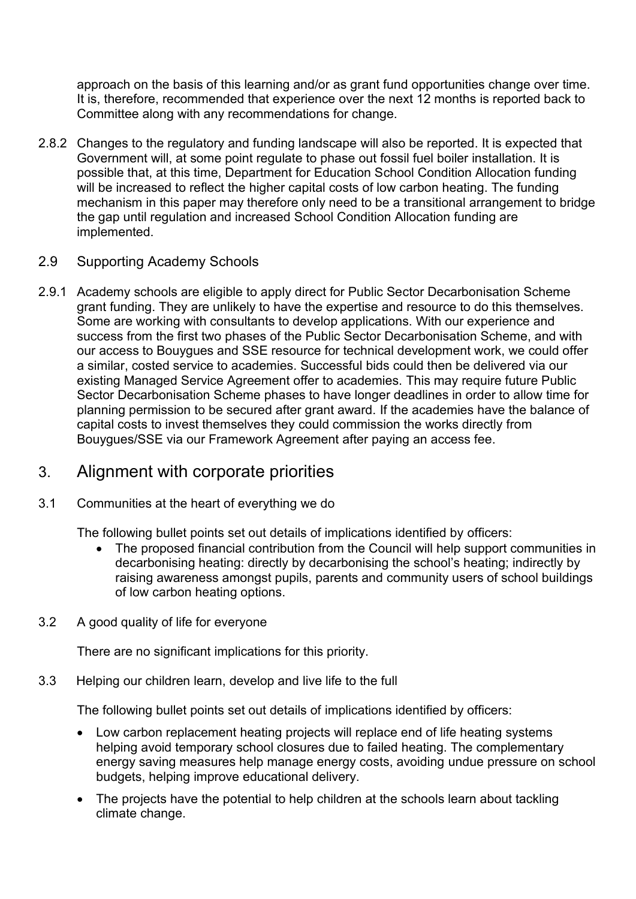approach on the basis of this learning and/or as grant fund opportunities change over time. It is, therefore, recommended that experience over the next 12 months is reported back to Committee along with any recommendations for change.

2.8.2 Changes to the regulatory and funding landscape will also be reported. It is expected that Government will, at some point regulate to phase out fossil fuel boiler installation. It is possible that, at this time, Department for Education School Condition Allocation funding will be increased to reflect the higher capital costs of low carbon heating. The funding mechanism in this paper may therefore only need to be a transitional arrangement to bridge the gap until regulation and increased School Condition Allocation funding are implemented.

#### 2.9 Supporting Academy Schools

2.9.1 Academy schools are eligible to apply direct for Public Sector Decarbonisation Scheme grant funding. They are unlikely to have the expertise and resource to do this themselves. Some are working with consultants to develop applications. With our experience and success from the first two phases of the Public Sector Decarbonisation Scheme, and with our access to Bouygues and SSE resource for technical development work, we could offer a similar, costed service to academies. Successful bids could then be delivered via our existing Managed Service Agreement offer to academies. This may require future Public Sector Decarbonisation Scheme phases to have longer deadlines in order to allow time for planning permission to be secured after grant award. If the academies have the balance of capital costs to invest themselves they could commission the works directly from Bouygues/SSE via our Framework Agreement after paying an access fee.

## 3. Alignment with corporate priorities

#### 3.1 Communities at the heart of everything we do

The following bullet points set out details of implications identified by officers:

- The proposed financial contribution from the Council will help support communities in decarbonising heating: directly by decarbonising the school's heating; indirectly by raising awareness amongst pupils, parents and community users of school buildings of low carbon heating options.
- 3.2 A good quality of life for everyone

There are no significant implications for this priority.

3.3 Helping our children learn, develop and live life to the full

The following bullet points set out details of implications identified by officers:

- Low carbon replacement heating projects will replace end of life heating systems helping avoid temporary school closures due to failed heating. The complementary energy saving measures help manage energy costs, avoiding undue pressure on school budgets, helping improve educational delivery.
- The projects have the potential to help children at the schools learn about tackling climate change.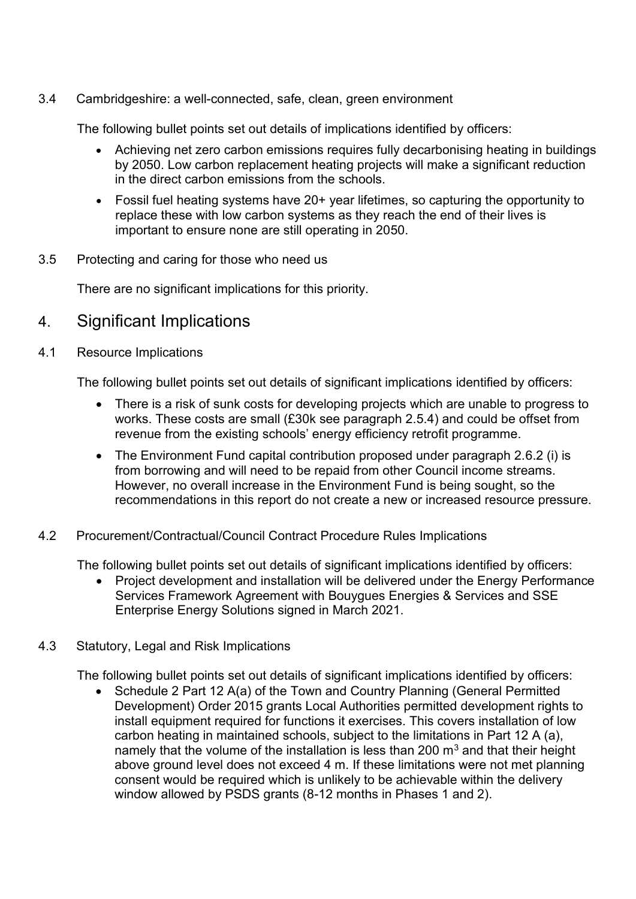3.4 Cambridgeshire: a well-connected, safe, clean, green environment

The following bullet points set out details of implications identified by officers:

- Achieving net zero carbon emissions requires fully decarbonising heating in buildings by 2050. Low carbon replacement heating projects will make a significant reduction in the direct carbon emissions from the schools.
- Fossil fuel heating systems have 20+ year lifetimes, so capturing the opportunity to replace these with low carbon systems as they reach the end of their lives is important to ensure none are still operating in 2050.
- 3.5 Protecting and caring for those who need us

There are no significant implications for this priority.

- 4. Significant Implications
- 4.1 Resource Implications

The following bullet points set out details of significant implications identified by officers:

- There is a risk of sunk costs for developing projects which are unable to progress to works. These costs are small (£30k see paragraph 2.5.4) and could be offset from revenue from the existing schools' energy efficiency retrofit programme.
- The Environment Fund capital contribution proposed under paragraph 2.6.2 (i) is from borrowing and will need to be repaid from other Council income streams. However, no overall increase in the Environment Fund is being sought, so the recommendations in this report do not create a new or increased resource pressure.
- 4.2 Procurement/Contractual/Council Contract Procedure Rules Implications

The following bullet points set out details of significant implications identified by officers:

- Project development and installation will be delivered under the Energy Performance Services Framework Agreement with Bouygues Energies & Services and SSE Enterprise Energy Solutions signed in March 2021.
- 4.3 Statutory, Legal and Risk Implications

The following bullet points set out details of significant implications identified by officers:<br>• Schedule 2 Part 12 A(a) of the Town and Country Planning (General Permitted

• Schedule 2 Part 12 A(a) of the Town and Country Planning (General Permitted Development) Order 2015 grants Local Authorities permitted development rights to install equipment required for functions it exercises. This covers installation of low carbon heating in maintained schools, subject to the limitations in Part 12 A (a), namely that the volume of the installation is less than 200  $\mathrm{m}^3$  and that their height above ground level does not exceed 4 m. If these limitations were not met planning consent would be required which is unlikely to be achievable within the delivery window allowed by PSDS grants (8-12 months in Phases 1 and 2).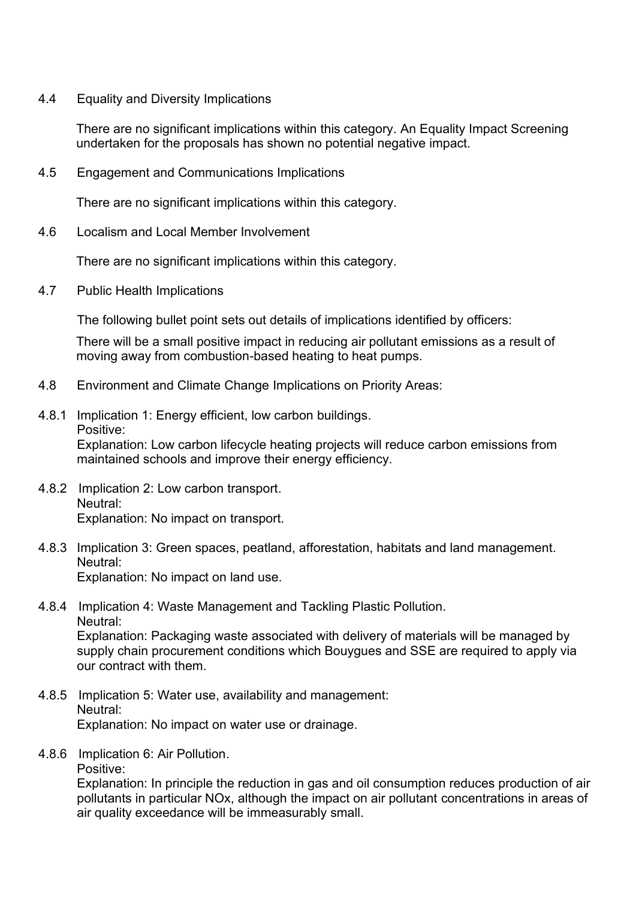4.4 Equality and Diversity Implications

There are no significant implications within this category. An Equality Impact Screening undertaken for the proposals has shown no potential negative impact.

4.5 Engagement and Communications Implications

There are no significant implications within this category.

4.6 Localism and Local Member Involvement

There are no significant implications within this category.

4.7 Public Health Implications

The following bullet point sets out details of implications identified by officers:

There will be a small positive impact in reducing air pollutant emissions as a result of moving away from combustion-based heating to heat pumps.

- 4.8 Environment and Climate Change Implications on Priority Areas:
- 4.8.1 Implication 1: Energy efficient, low carbon buildings. Positive: Explanation: Low carbon lifecycle heating projects will reduce carbon emissions from maintained schools and improve their energy efficiency.
- 4.8.2 Implication 2: Low carbon transport. Neutral: Explanation: No impact on transport.
- 4.8.3 Implication 3: Green spaces, peatland, afforestation, habitats and land management. Neutral: Explanation: No impact on land use.
- 4.8.4 Implication 4: Waste Management and Tackling Plastic Pollution. Neutral: Explanation: Packaging waste associated with delivery of materials will be managed by

supply chain procurement conditions which Bouygues and SSE are required to apply via our contract with them.

- 4.8.5 Implication 5: Water use, availability and management: Neutral: Explanation: No impact on water use or drainage.
- 4.8.6 Implication 6: Air Pollution.

Positive:

Explanation: In principle the reduction in gas and oil consumption reduces production of air pollutants in particular NOx, although the impact on air pollutant concentrations in areas of air quality exceedance will be immeasurably small.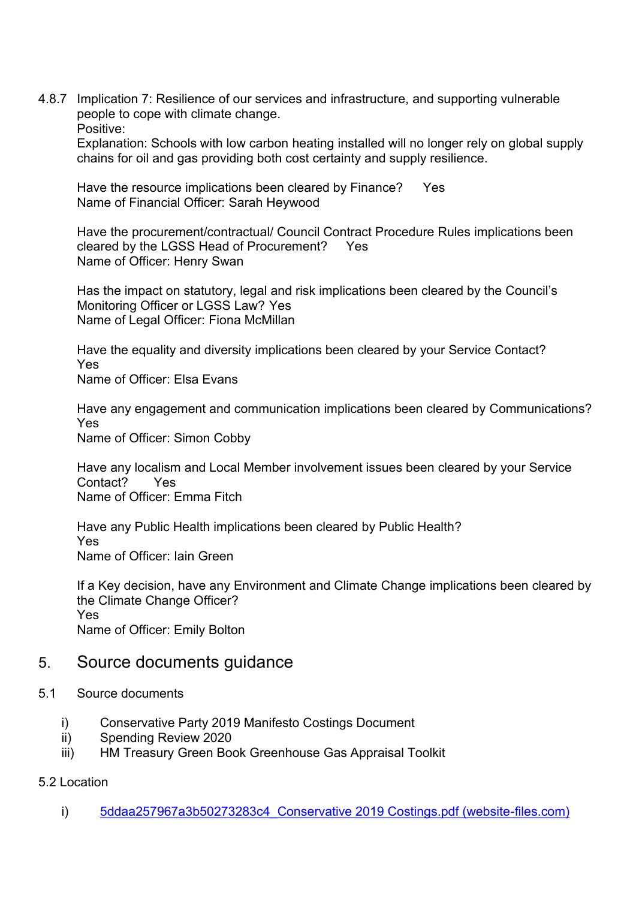4.8.7 Implication 7: Resilience of our services and infrastructure, and supporting vulnerable people to cope with climate change. Positive:

Explanation: Schools with low carbon heating installed will no longer rely on global supply chains for oil and gas providing both cost certainty and supply resilience.

Have the resource implications been cleared by Finance? Yes Name of Financial Officer: Sarah Heywood

Have the procurement/contractual/ Council Contract Procedure Rules implications been cleared by the LGSS Head of Procurement? Yes Name of Officer: Henry Swan

Has the impact on statutory, legal and risk implications been cleared by the Council's Monitoring Officer or LGSS Law? Yes Name of Legal Officer: Fiona McMillan

Have the equality and diversity implications been cleared by your Service Contact? Yes

Name of Officer: Elsa Evans

Have any engagement and communication implications been cleared by Communications? Yes Name of Officer: Simon Cobby

Have any localism and Local Member involvement issues been cleared by your Service Contact? Yes Name of Officer: Emma Fitch

Have any Public Health implications been cleared by Public Health? Yes Name of Officer: Iain Green

If a Key decision, have any Environment and Climate Change implications been cleared by the Climate Change Officer? Yes Name of Officer: Emily Bolton

## 5. Source documents guidance

- 5.1 Source documents
	- i) Conservative Party 2019 Manifesto Costings Document
	- ii) Spending Review 2020
	- iii) HM Treasury Green Book Greenhouse Gas Appraisal Toolkit

#### 5.2 Location

i) 5ddaa257967a3b50273283c4 Conservative 2019 Costings.pdf (website-files.com)